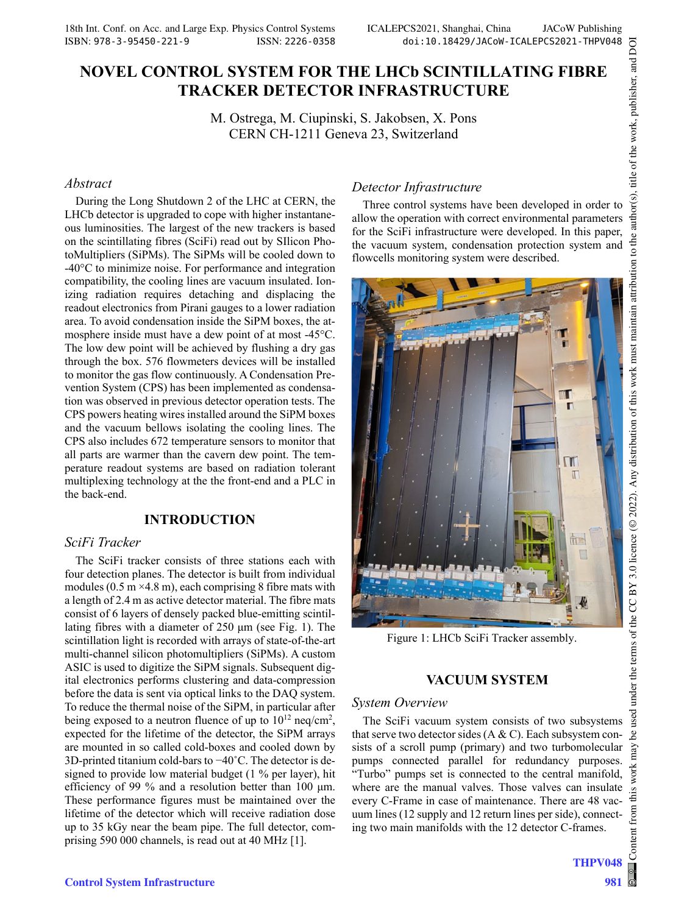# **NOVEL CONTROL SYSTEM FOR THE LHCb SCINTILLATING FIBRE TRACKER DETECTOR INFRASTRUCTURE**

M. Ostrega, M. Ciupinski, S. Jakobsen, X. Pons CERN CH-1211 Geneva 23, Switzerland

### *Abstract*

During the Long Shutdown 2 of the LHC at CERN, the LHCb detector is upgraded to cope with higher instantaneous luminosities. The largest of the new trackers is based on the scintillating fibres (SciFi) read out by SIlicon PhotoMultipliers (SiPMs). The SiPMs will be cooled down to -40°C to minimize noise. For performance and integration compatibility, the cooling lines are vacuum insulated. Ionizing radiation requires detaching and displacing the readout electronics from Pirani gauges to a lower radiation area. To avoid condensation inside the SiPM boxes, the atmosphere inside must have a dew point of at most -45°C. The low dew point will be achieved by flushing a dry gas through the box. 576 flowmeters devices will be installed to monitor the gas flow continuously. A Condensation Prevention System (CPS) has been implemented as condensation was observed in previous detector operation tests. The CPS powers heating wires installed around the SiPM boxes and the vacuum bellows isolating the cooling lines. The CPS also includes 672 temperature sensors to monitor that all parts are warmer than the cavern dew point. The temperature readout systems are based on radiation tolerant multiplexing technology at the the front-end and a PLC in the back-end.

### **INTRODUCTION**

## *SciFi Tracker*

The SciFi tracker consists of three stations each with four detection planes. The detector is built from individual modules  $(0.5 \text{ m} \times 4.8 \text{ m})$ , each comprising 8 fibre mats with a length of 2.4 m as active detector material. The fibre mats consist of 6 layers of densely packed blue-emitting scintillating fibres with a diameter of 250 μm (see Fig. 1). The scintillation light is recorded with arrays of state-of-the-art multi-channel silicon photomultipliers (SiPMs). A custom ASIC is used to digitize the SiPM signals. Subsequent digital electronics performs clustering and data-compression before the data is sent via optical links to the DAQ system. To reduce the thermal noise of the SiPM, in particular after being exposed to a neutron fluence of up to  $10^{12}$  neq/cm<sup>2</sup>, expected for the lifetime of the detector, the SiPM arrays are mounted in so called cold-boxes and cooled down by 3D-printed titanium cold-bars to −40˚C. The detector is designed to provide low material budget (1 % per layer), hit efficiency of 99 % and a resolution better than 100 μm. These performance figures must be maintained over the lifetime of the detector which will receive radiation dose up to 35 kGy near the beam pipe. The full detector, comprising 590 000 channels, is read out at 40 MHz [1].

## *Detector Infrastructure*

Three control systems have been developed in order to allow the operation with correct environmental parameters for the SciFi infrastructure were developed. In this paper, the vacuum system, condensation protection system and flowcells monitoring system were described.



Figure 1: LHCb SciFi Tracker assembly.

### **VACUUM SYSTEM**

#### *System Overview*

The SciFi vacuum system consists of two subsystems that serve two detector sides  $(A & C)$ . Each subsystem consists of a scroll pump (primary) and two turbomolecular pumps connected parallel for redundancy purposes. "Turbo" pumps set is connected to the central manifold, where are the manual valves. Those valves can insulate every C-Frame in case of maintenance. There are 48 vacuum lines (12 supply and 12 return lines per side), connecting two main manifolds with the 12 detector C-frames.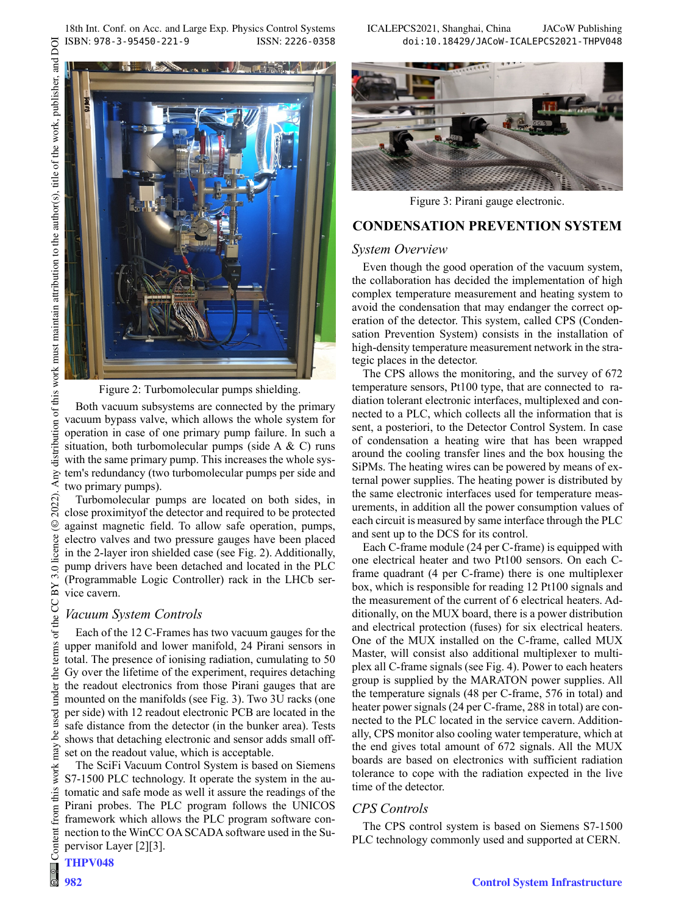18th Int. Conf. on Acc. and Large Exp. Physics Control Systems ICALEPCS2021, Shanghai, China JACoW Publishing ISBN: 978-3-95450-221-9 ISSN: 2226-0358 doi:10.18429/JACoW-ICALEPCS2021-THPV048

DOI

distribution of this work must maintain attribution to the author(s), title of the work, publisher, and

Any o

2022).  $\odot$ 

3.0 licence

of the CC BY

terms

under the

used

**The Common Seconds** 

Figure 2: Turbomolecular pumps shielding.

Both vacuum subsystems are connected by the primary vacuum bypass valve, which allows the whole system for operation in case of one primary pump failure. In such a situation, both turbomolecular pumps (side A & C) runs with the same primary pump. This increases the whole system's redundancy (two turbomolecular pumps per side and two primary pumps).

Turbomolecular pumps are located on both sides, in close proximityof the detector and required to be protected against magnetic field. To allow safe operation, pumps, electro valves and two pressure gauges have been placed in the 2-layer iron shielded case (see Fig. 2). Additionally, pump drivers have been detached and located in the PLC (Programmable Logic Controller) rack in the LHCb service cavern.

#### *Vacuum System Controls*

Each of the 12 C-Frames has two vacuum gauges for the upper manifold and lower manifold, 24 Pirani sensors in total. The presence of ionising radiation, cumulating to 50 Gy over the lifetime of the experiment, requires detaching the readout electronics from those Pirani gauges that are mounted on the manifolds (see Fig. 3). Two 3U racks (one per side) with 12 readout electronic PCB are located in the safe distance from the detector (in the bunker area). Tests shows that detaching electronic and sensor adds small offset on the readout value, which is acceptable.

The SciFi Vacuum Control System is based on Siemens S7-1500 PLC technology. It operate the system in the automatic and safe mode as well it assure the readings of the Pirani probes. The PLC program follows the UNICOS framework which allows the PLC program software connection to the WinCC OA SCADA software used in the Supervisor Layer [2][3].

#### THPV048



Figure 3: Pirani gauge electronic.

## **CONDENSATION PREVENTION SYSTEM**

### *System Overview*

Even though the good operation of the vacuum system, the collaboration has decided the implementation of high complex temperature measurement and heating system to avoid the condensation that may endanger the correct operation of the detector. This system, called CPS (Condensation Prevention System) consists in the installation of high-density temperature measurement network in the strategic places in the detector.

The CPS allows the monitoring, and the survey of 672 temperature sensors, Pt100 type, that are connected to radiation tolerant electronic interfaces, multiplexed and connected to a PLC, which collects all the information that is sent, a posteriori, to the Detector Control System. In case of condensation a heating wire that has been wrapped around the cooling transfer lines and the box housing the SiPMs. The heating wires can be powered by means of external power supplies. The heating power is distributed by the same electronic interfaces used for temperature measurements, in addition all the power consumption values of each circuit is measured by same interface through the PLC and sent up to the DCS for its control.

Each C-frame module (24 per C-frame) is equipped with one electrical heater and two Pt100 sensors. On each Cframe quadrant (4 per C-frame) there is one multiplexer box, which is responsible for reading 12 Pt100 signals and the measurement of the current of 6 electrical heaters. Additionally, on the MUX board, there is a power distribution and electrical protection (fuses) for six electrical heaters. One of the MUX installed on the C-frame, called MUX Master, will consist also additional multiplexer to multiplex all C-frame signals (see Fig. 4). Power to each heaters group is supplied by the MARATON power supplies. All the temperature signals (48 per C-frame, 576 in total) and heater power signals (24 per C-frame, 288 in total) are connected to the PLC located in the service cavern. Additionally, CPS monitor also cooling water temperature, which at the end gives total amount of 672 signals. All the MUX boards are based on electronics with sufficient radiation tolerance to cope with the radiation expected in the live time of the detector.

### *CPS Controls*

The CPS control system is based on Siemens S7-1500 PLC technology commonly used and supported at CERN.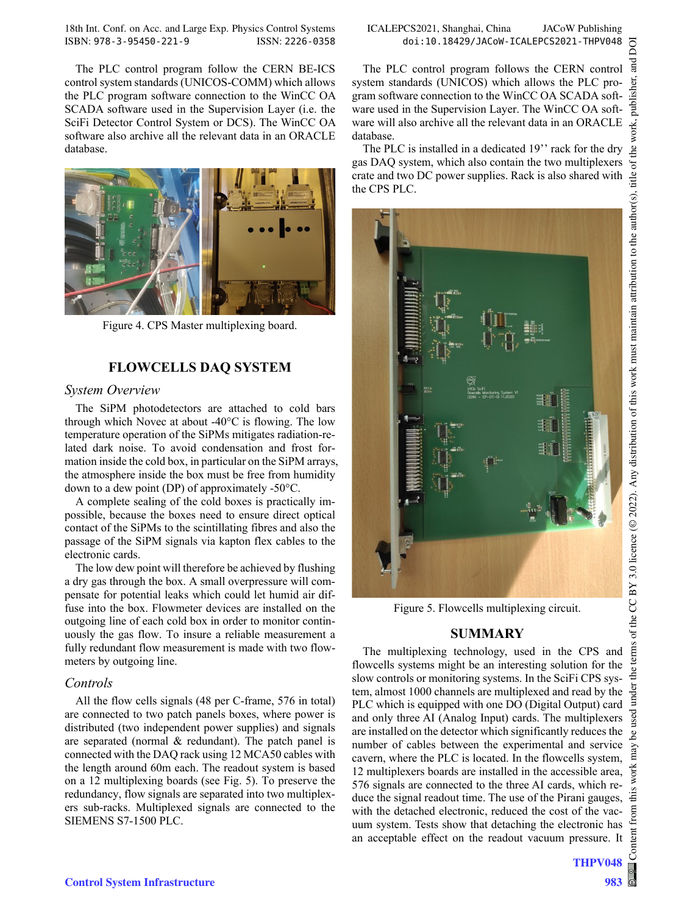18th Int. Conf. on Acc. and Large Exp. Physics Control Systems ICALEPCS2021, Shanghai, China JACoW Publishing ISBN: 978-3-95450-221-9 ISSN: 2226-0358 doi:10.18429/JACoW-ICALEPCS2021-THPV048

The PLC control program follow the CERN BE-ICS control system standards (UNICOS-COMM) which allows the PLC program software connection to the WinCC OA SCADA software used in the Supervision Layer (i.e. the SciFi Detector Control System or DCS). The WinCC OA software also archive all the relevant data in an ORACLE database.



Figure 4. CPS Master multiplexing board.

### **FLOWCELLS DAQ SYSTEM**

### *System Overview*

The SiPM photodetectors are attached to cold bars through which Novec at about -40°C is flowing. The low temperature operation of the SiPMs mitigates radiation-related dark noise. To avoid condensation and frost formation inside the cold box, in particular on the SiPM arrays, the atmosphere inside the box must be free from humidity down to a dew point (DP) of approximately -50°C.

A complete sealing of the cold boxes is practically impossible, because the boxes need to ensure direct optical contact of the SiPMs to the scintillating fibres and also the passage of the SiPM signals via kapton flex cables to the electronic cards.

The low dew point will therefore be achieved by flushing a dry gas through the box. A small overpressure will compensate for potential leaks which could let humid air diffuse into the box. Flowmeter devices are installed on the outgoing line of each cold box in order to monitor continuously the gas flow. To insure a reliable measurement a fully redundant flow measurement is made with two flowmeters by outgoing line.

### *Controls*

All the flow cells signals (48 per C-frame, 576 in total) are connected to two patch panels boxes, where power is distributed (two independent power supplies) and signals are separated (normal & redundant). The patch panel is connected with the DAQ rack using 12 MCA50 cables with the length around 60m each. The readout system is based on a 12 multiplexing boards (see Fig. 5). To preserve the redundancy, flow signals are separated into two multiplexers sub-racks. Multiplexed signals are connected to the SIEMENS S7-1500 PLC.

The PLC control program follows the CERN control system standards (UNICOS) which allows the PLC program software connection to the WinCC OA SCADA software used in the Supervision Layer. The WinCC OA software will also archive all the relevant data in an ORACLE database.

The PLC is installed in a dedicated 19" rack for the dry gas DAQ system, which also contain the two multiplexers crate and two DC power supplies. Rack is also shared with the CPS PLC.



Figure 5. Flowcells multiplexing circuit.

### **SUMMARY**

The multiplexing technology, used in the CPS and flowcells systems might be an interesting solution for the slow controls or monitoring systems. In the SciFi CPS system, almost 1000 channels are multiplexed and read by the PLC which is equipped with one DO (Digital Output) card and only three AI (Analog Input) cards. The multiplexers are installed on the detector which significantly reduces the number of cables between the experimental and service cavern, where the PLC is located. In the flowcells system, 12 multiplexers boards are installed in the accessible area, 576 signals are connected to the three AI cards, which reduce the signal readout time. The use of the Pirani gauges, with the detached electronic, reduced the cost of the vacuum system. Tests show that detaching the electronic has an acceptable effect on the readout vacuum pressure. It

Ē